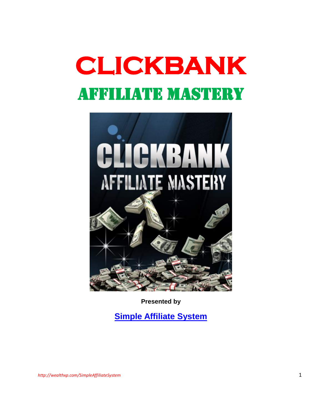# **CLICKBANK** Affiliate Mastery



**Presented by**

**[Simple Affiliate System](http://wealthxp.com/SimpleAffiliateSystem/)**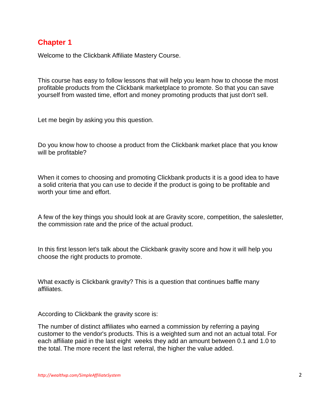#### **Chapter 1**

Welcome to the Clickbank Affiliate Mastery Course.

This course has easy to follow lessons that will help you learn how to choose the most profitable products from the Clickbank marketplace to promote. So that you can save yourself from wasted time, effort and money promoting products that just don't sell.

Let me begin by asking you this question.

Do you know how to choose a product from the Clickbank market place that you know will be profitable?

When it comes to choosing and promoting Clickbank products it is a good idea to have a solid criteria that you can use to decide if the product is going to be profitable and worth your time and effort.

A few of the key things you should look at are Gravity score, competition, the salesletter, the commission rate and the price of the actual product.

In this first lesson let's talk about the Clickbank gravity score and how it will help you choose the right products to promote.

What exactly is Clickbank gravity? This is a question that continues baffle many affiliates.

According to Clickbank the gravity score is:

The number of distinct affiliates who earned a commission by referring a paying customer to the vendor's products. This is a weighted sum and not an actual total. For each affiliate paid in the last eight weeks they add an amount between 0.1 and 1.0 to the total. The more recent the last referral, the higher the value added.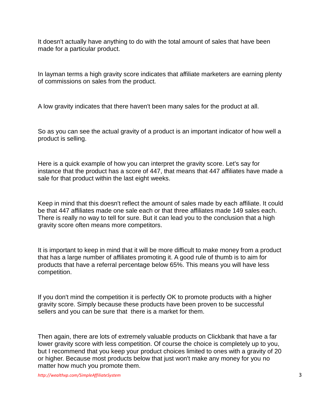It doesn't actually have anything to do with the total amount of sales that have been made for a particular product.

In layman terms a high gravity score indicates that affiliate marketers are earning plenty of commissions on sales from the product.

A low gravity indicates that there haven't been many sales for the product at all.

So as you can see the actual gravity of a product is an important indicator of how well a product is selling.

Here is a quick example of how you can interpret the gravity score. Let's say for instance that the product has a score of 447, that means that 447 affiliates have made a sale for that product within the last eight weeks.

Keep in mind that this doesn't reflect the amount of sales made by each affiliate. It could be that 447 affiliates made one sale each or that three affiliates made 149 sales each. There is really no way to tell for sure. But it can lead you to the conclusion that a high gravity score often means more competitors.

It is important to keep in mind that it will be more difficult to make money from a product that has a large number of affiliates promoting it. A good rule of thumb is to aim for products that have a referral percentage below 65%. This means you will have less competition.

If you don't mind the competition it is perfectly OK to promote products with a higher gravity score. Simply because these products have been proven to be successful sellers and you can be sure that there is a market for them.

Then again, there are lots of extremely valuable products on Clickbank that have a far lower gravity score with less competition. Of course the choice is completely up to you, but I recommend that you keep your product choices limited to ones with a gravity of 20 or higher. Because most products below that just won't make any money for you no matter how much you promote them.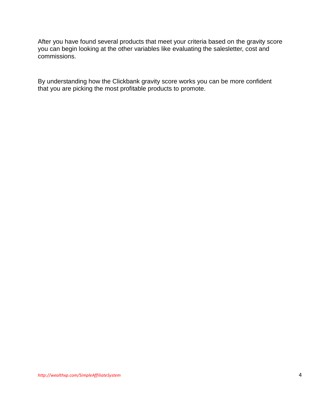After you have found several products that meet your criteria based on the gravity score you can begin looking at the other variables like evaluating the salesletter, cost and commissions.

By understanding how the Clickbank gravity score works you can be more confident that you are picking the most profitable products to promote.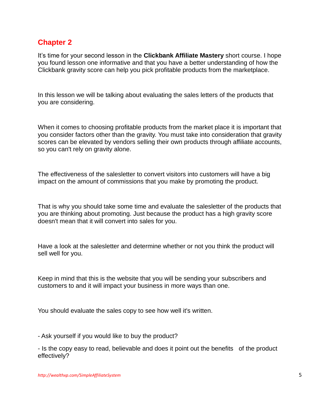#### **Chapter 2**

It's time for your second lesson in the **Clickbank Affiliate Mastery** short course. I hope you found lesson one informative and that you have a better understanding of how the Clickbank gravity score can help you pick profitable products from the marketplace.

In this lesson we will be talking about evaluating the sales letters of the products that you are considering.

When it comes to choosing profitable products from the market place it is important that you consider factors other than the gravity. You must take into consideration that gravity scores can be elevated by vendors selling their own products through affiliate accounts, so you can't rely on gravity alone.

The effectiveness of the salesletter to convert visitors into customers will have a big impact on the amount of commissions that you make by promoting the product.

That is why you should take some time and evaluate the salesletter of the products that you are thinking about promoting. Just because the product has a high gravity score doesn't mean that it will convert into sales for you.

Have a look at the salesletter and determine whether or not you think the product will sell well for you.

Keep in mind that this is the website that you will be sending your subscribers and customers to and it will impact your business in more ways than one.

You should evaluate the sales copy to see how well it's written.

- Ask yourself if you would like to buy the product?

- Is the copy easy to read, believable and does it point out the benefits of the product effectively?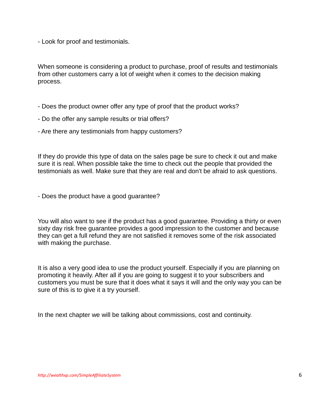- Look for proof and testimonials.

When someone is considering a product to purchase, proof of results and testimonials from other customers carry a lot of weight when it comes to the decision making process.

- Does the product owner offer any type of proof that the product works?
- Do the offer any sample results or trial offers?
- Are there any testimonials from happy customers?

If they do provide this type of data on the sales page be sure to check it out and make sure it is real. When possible take the time to check out the people that provided the testimonials as well. Make sure that they are real and don't be afraid to ask questions.

- Does the product have a good guarantee?

You will also want to see if the product has a good guarantee. Providing a thirty or even sixty day risk free guarantee provides a good impression to the customer and because they can get a full refund they are not satisfied it removes some of the risk associated with making the purchase.

It is also a very good idea to use the product yourself. Especially if you are planning on promoting it heavily. After all if you are going to suggest it to your subscribers and customers you must be sure that it does what it says it will and the only way you can be sure of this is to give it a try yourself.

In the next chapter we will be talking about commissions, cost and continuity.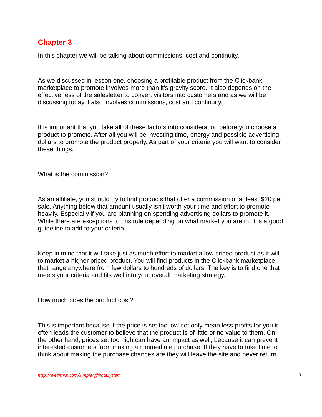### **Chapter 3**

In this chapter we will be talking about commissions, cost and continuity.

As we discussed in lesson one, choosing a profitable product from the Clickbank marketplace to promote involves more than it's gravity score. It also depends on the effectiveness of the salesletter to convert visitors into customers and as we will be discussing today it also involves commissions, cost and continuity.

It is important that you take all of these factors into consideration before you choose a product to promote. After all you will be investing time, energy and possible advertising dollars to promote the product properly. As part of your criteria you will want to consider these things.

What is the commission?

As an affiliate, you should try to find products that offer a commission of at least \$20 per sale. Anything below that amount usually isn't worth your time and effort to promote heavily. Especially if you are planning on spending advertising dollars to promote it. While there are exceptions to this rule depending on what market you are in, it is a good guideline to add to your criteria.

Keep in mind that it will take just as much effort to market a low priced product as it will to market a higher priced product. You will find products in the Clickbank marketplace that range anywhere from few dollars to hundreds of dollars. The key is to find one that meets your criteria and fits well into your overall marketing strategy.

How much does the product cost?

This is important because if the price is set too low not only mean less profits for you it often leads the customer to believe that the product is of little or no value to them. On the other hand, prices set too high can have an impact as well, because it can prevent interested customers from making an immediate purchase. If they have to take time to think about making the purchase chances are they will leave the site and never return.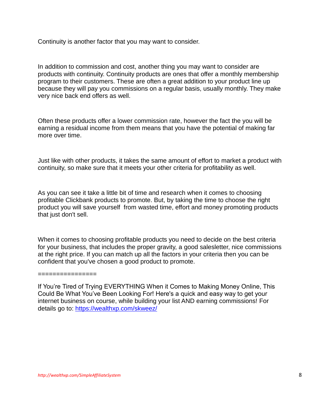Continuity is another factor that you may want to consider.

In addition to commission and cost, another thing you may want to consider are products with continuity. Continuity products are ones that offer a monthly membership program to their customers. These are often a great addition to your product line up because they will pay you commissions on a regular basis, usually monthly. They make very nice back end offers as well.

Often these products offer a lower commission rate, however the fact the you will be earning a residual income from them means that you have the potential of making far more over time.

Just like with other products, it takes the same amount of effort to market a product with continuity, so make sure that it meets your other criteria for profitability as well.

As you can see it take a little bit of time and research when it comes to choosing profitable Clickbank products to promote. But, by taking the time to choose the right product you will save yourself from wasted time, effort and money promoting products that just don't sell.

When it comes to choosing profitable products you need to decide on the best criteria for your business, that includes the proper gravity, a good salesletter, nice commissions at the right price. If you can match up all the factors in your criteria then you can be confident that you've chosen a good product to promote.

================

If You're Tired of Trying EVERYTHING When it Comes to Making Money Online, This Could Be What You've Been Looking For! Here's a quick and easy way to get your internet business on course, while building your list AND earning commissions! For details go to:<https://wealthxp.com/skweez/>